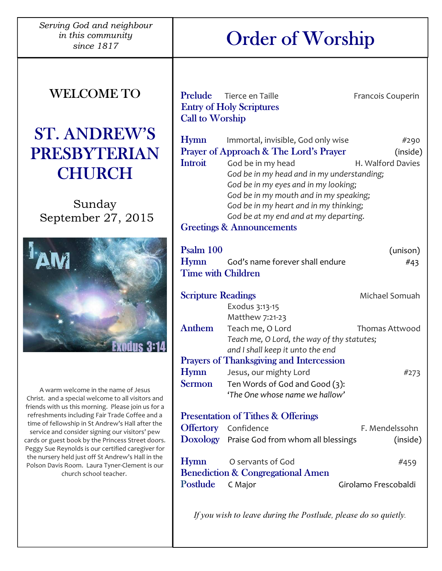Serving God and neighbour in this community

# his community  $\sum_{\text{since }1817}$  Order of Worship

## WELCOME TO

## ST. ANDREW'S PRESBYTERIAN **CHURCH**

## Sunday September 27, 2015



A warm welcome in the name of Jesus Christ. and a special welcome to all visitors and friends with us this morning. Please join us for a refreshments including Fair Trade Coffee and a time of fellowship in St Andrew's Hall after the service and consider signing our visitors' pew cards or guest book by the Princess Street doors. Peggy Sue Reynolds is our certified caregiver for the nursery held just off St Andrew's Hall in the Polson Davis Room. Laura Tyner-Clement is our church school teacher.

| Prelude<br><b>Call to Worship</b>                     | Tierce en Taille<br><b>Entry of Holy Scriptures</b>                                                                                                                                                                                                                                                                                                          | Francois Couperin                     |
|-------------------------------------------------------|--------------------------------------------------------------------------------------------------------------------------------------------------------------------------------------------------------------------------------------------------------------------------------------------------------------------------------------------------------------|---------------------------------------|
| <b>Hymn</b><br><b>Introit</b>                         | Immortal, invisible, God only wise<br>Prayer of Approach & The Lord's Prayer<br>God be in my head<br>God be in my head and in my understanding;<br>God be in my eyes and in my looking;<br>God be in my mouth and in my speaking;<br>God be in my heart and in my thinking;<br>God be at my end and at my departing.<br><b>Greetings &amp; Announcements</b> | #290<br>(inside)<br>H. Walford Davies |
| Psalm 100<br><b>Hymn</b><br><b>Time with Children</b> | God's name forever shall endure                                                                                                                                                                                                                                                                                                                              | (unison)<br>#43                       |
|                                                       |                                                                                                                                                                                                                                                                                                                                                              |                                       |
| <b>Scripture Readings</b>                             |                                                                                                                                                                                                                                                                                                                                                              | Michael Somuah                        |
| <b>Anthem</b>                                         | Exodus 3:13-15<br>Matthew 7:21-23<br>Teach me, O Lord<br>Teach me, O Lord, the way of thy statutes;<br>and I shall keep it unto the end                                                                                                                                                                                                                      | Thomas Attwood                        |
|                                                       | <b>Prayers of Thanksgiving and Intercession</b>                                                                                                                                                                                                                                                                                                              |                                       |
| <b>Hymn</b><br><b>Sermon</b>                          | Jesus, our mighty Lord<br>Ten Words of God and Good (3):<br>'The One whose name we hallow'                                                                                                                                                                                                                                                                   | #273                                  |
|                                                       | <b>Presentation of Tithes &amp; Offerings</b>                                                                                                                                                                                                                                                                                                                |                                       |
|                                                       | Offertory Confidence                                                                                                                                                                                                                                                                                                                                         | F. Mendelssohn                        |
|                                                       | Doxology Praise God from whom all blessings                                                                                                                                                                                                                                                                                                                  | (inside)                              |
| <b>Hymn</b>                                           | O servants of God                                                                                                                                                                                                                                                                                                                                            | #459                                  |

If you wish to leave during the Postlude, please do so quietly.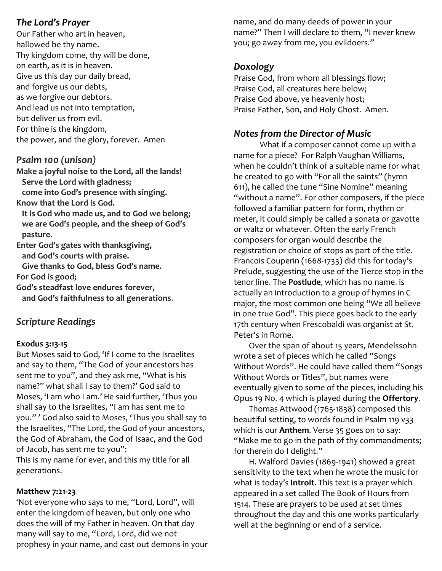## The Lord's Prayer

Our Father who art in heaven, hallowed be thy name. Thy kingdom come, thy will be done, on earth, as it is in heaven. Give us this day our daily bread, and forgive us our debts, as we forgive our debtors. And lead us not into temptation, but deliver us from evil. For thine is the kingdom, the power, and the glory, forever. Amen

## Psalm 100 (unison)

Make a joyful noise to the Lord, all the lands! Serve the Lord with gladness; come into God's presence with singing. Know that the Lord is God. It is God who made us, and to God we belong;

 we are God's people, and the sheep of God's pasture.

Enter God's gates with thanksgiving, and God's courts with praise.

 Give thanks to God, bless God's name. For God is good;

God's steadfast love endures forever, and God's faithfulness to all generations.

## Scripture Readings

### Exodus 3:13-15

But Moses said to God, 'If I come to the Israelites and say to them, "The God of your ancestors has sent me to you", and they ask me, "What is his name?" what shall I say to them?' God said to Moses, 'I am who I am.' He said further, 'Thus you shall say to the Israelites, "I am has sent me to you." ' God also said to Moses, 'Thus you shall say to the Israelites, "The Lord, the God of your ancestors, the God of Abraham, the God of Isaac, and the God of Jacob, has sent me to you":

This is my name for ever, and this my title for all generations.

### Matthew 7:21-23

'Not everyone who says to me, "Lord, Lord", will enter the kingdom of heaven, but only one who does the will of my Father in heaven. On that day many will say to me, "Lord, Lord, did we not prophesy in your name, and cast out demons in your name, and do many deeds of power in your name?" Then I will declare to them, "I never knew you; go away from me, you evildoers."

## Doxology

Praise God, from whom all blessings flow; Praise God, all creatures here below; Praise God above, ye heavenly host; Praise Father, Son, and Holy Ghost. Amen.

## Notes from the Director of Music

 What if a composer cannot come up with a name for a piece? For Ralph Vaughan Williams, when he couldn't think of a suitable name for what he created to go with "For all the saints" (hymn 611), he called the tune "Sine Nomine" meaning "without a name". For other composers, if the piece followed a familiar pattern for form, rhythm or meter, it could simply be called a sonata or gavotte or waltz or whatever. Often the early French composers for organ would describe the registration or choice of stops as part of the title. Francois Couperin (1668-1733) did this for today's Prelude, suggesting the use of the Tierce stop in the tenor line. The Postlude, which has no name. is actually an introduction to a group of hymns in C major, the most common one being "We all believe in one true God". This piece goes back to the early 17th century when Frescobaldi was organist at St. Peter's in Rome.

 Over the span of about 15 years, Mendelssohn wrote a set of pieces which he called "Songs Without Words". He could have called them "Songs Without Words or Titles", but names were eventually given to some of the pieces, including his Opus 19 No. 4 which is played during the Offertory.

 Thomas Attwood (1765-1838) composed this beautiful setting, to words found in Psalm 119 v33 which is our **Anthem**. Verse 35 goes on to say: "Make me to go in the path of thy commandments; for therein do I delight."

 H. Walford Davies (1869-1941) showed a great sensitivity to the text when he wrote the music for what is today's Introit. This text is a prayer which appeared in a set called The Book of Hours from 1514. These are prayers to be used at set times throughout the day and this one works particularly well at the beginning or end of a service.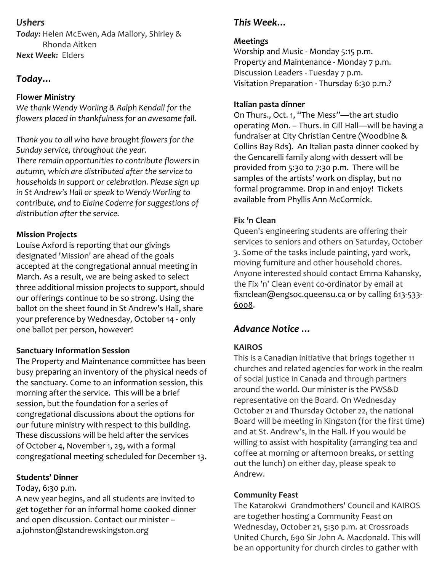## Ushers

Today: Helen McEwen, Ada Mallory, Shirley & Rhonda Aitken Next Week: Elders

## Today…

## Flower Ministry

We thank Wendy Worling & Ralph Kendall for the flowers placed in thankfulness for an awesome fall.

Thank you to all who have brought flowers for the Sunday service, throughout the year. There remain opportunities to contribute flowers in autumn, which are distributed after the service to households in support or celebration. Please sign up in St Andrew's Hall or speak to Wendy Worling to contribute, and to Elaine Coderre for suggestions of distribution after the service.

## Mission Projects

Louise Axford is reporting that our givings designated 'Mission' are ahead of the goals accepted at the congregational annual meeting in March. As a result, we are being asked to select three additional mission projects to support, should our offerings continue to be so strong. Using the ballot on the sheet found in St Andrew's Hall, share your preference by Wednesday, October 14 - only one ballot per person, however!

## Sanctuary Information Session

The Property and Maintenance committee has been busy preparing an inventory of the physical needs of the sanctuary. Come to an information session, this morning after the service. This will be a brief session, but the foundation for a series of congregational discussions about the options for our future ministry with respect to this building. These discussions will be held after the services of October 4, November 1, 29, with a formal congregational meeting scheduled for December 13.

## Students' Dinner

Today, 6:30 p.m.

A new year begins, and all students are invited to get together for an informal home cooked dinner and open discussion. Contact our minister – a.johnston@standrewskingston.org

## This Week…

## Meetings

Worship and Music - Monday 5:15 p.m. Property and Maintenance - Monday 7 p.m. Discussion Leaders - Tuesday 7 p.m. Visitation Preparation - Thursday 6:30 p.m.?

## Italian pasta dinner

On Thurs., Oct. 1, "The Mess"—the art studio operating Mon. – Thurs. in Gill Hall—will be having a fundraiser at City Christian Centre (Woodbine & Collins Bay Rds). An Italian pasta dinner cooked by the Gencarelli family along with dessert will be provided from 5:30 to 7:30 p.m. There will be samples of the artists' work on display, but no formal programme. Drop in and enjoy! Tickets available from Phyllis Ann McCormick.

## Fix 'n Clean

Queen's engineering students are offering their services to seniors and others on Saturday, October 3. Some of the tasks include painting, yard work, moving furniture and other household chores. Anyone interested should contact Emma Kahansky, the Fix 'n' Clean event co-ordinator by email at fixnclean@engsoc.queensu.ca or by calling 613-533- 6008.

## Advance Notice …

## KAIROS

This is a Canadian initiative that brings together 11 churches and related agencies for work in the realm of social justice in Canada and through partners around the world. Our minister is the PWS&D representative on the Board. On Wednesday October 21 and Thursday October 22, the national Board will be meeting in Kingston (for the first time) and at St. Andrew's, in the Hall. If you would be willing to assist with hospitality (arranging tea and coffee at morning or afternoon breaks, or setting out the lunch) on either day, please speak to Andrew.

## Community Feast

The Katarokwi Grandmothers' Council and KAIROS are together hosting a Community Feast on Wednesday, October 21, 5:30 p.m. at Crossroads United Church, 690 Sir John A. Macdonald. This will be an opportunity for church circles to gather with